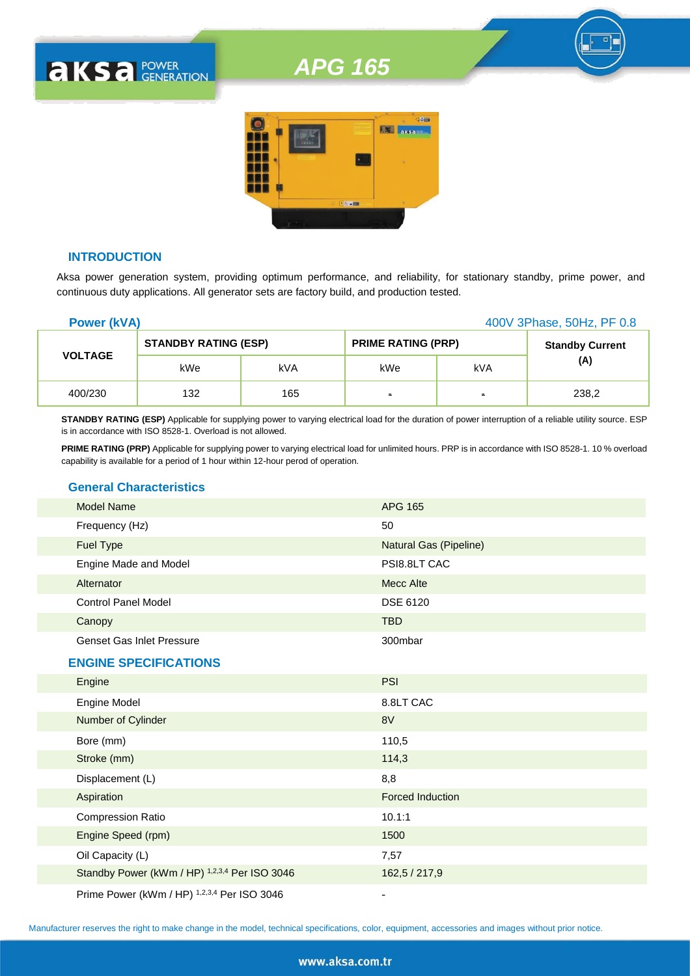# *APG 165*



#### **INTRODUCTION**

**AKSA POWER** 

Aksa power generation system, providing optimum performance, and reliability, for stationary standby, prime power, and continuous duty applications. All generator sets are factory build, and production tested.

| <b>Power (kVA)</b> |                             |     |                           |     | 400V 3Phase, 50Hz, PF 0.8 |
|--------------------|-----------------------------|-----|---------------------------|-----|---------------------------|
|                    | <b>STANDBY RATING (ESP)</b> |     | <b>PRIME RATING (PRP)</b> |     | <b>Standby Current</b>    |
| <b>VOLTAGE</b>     | kWe                         | kVA | kWe                       | kVA | (A)                       |
| 400/230            | 132                         | 165 | $\blacksquare$            | ٠   | 238,2                     |

**STANDBY RATING (ESP)** Applicable for supplying power to varying electrical load for the duration of power interruption of a reliable utility source. ESP is in accordance with ISO 8528-1. Overload is not allowed.

**PRIME RATING (PRP)** Applicable for supplying power to varying electrical load for unlimited hours. PRP is in accordance with ISO 8528-1. 10 % overload capability is available for a period of 1 hour within 12-hour perod of operation.

## **General Characteristics**

| <b>Model Name</b>                | <b>APG 165</b>         |
|----------------------------------|------------------------|
| Frequency (Hz)                   | 50                     |
| Fuel Type                        | Natural Gas (Pipeline) |
| Engine Made and Model            | PSI8.8LT CAC           |
| Alternator                       | Mecc Alte              |
| <b>Control Panel Model</b>       | <b>DSE 6120</b>        |
| Canopy                           | <b>TBD</b>             |
| <b>Genset Gas Inlet Pressure</b> | 300mbar                |
| <b>ENGINE SPECIFICATIONS</b>     |                        |
| Engine                           | <b>PSI</b>             |
| Engine Model                     | 8.8LT CAC              |
| Number of Cylinder               | 8V                     |
| Bore (mm)                        | 110,5                  |
| Stroke (mm)                      | 114,3                  |
| Displacement (L)                 | 8,8                    |
| Aspiration                       | Forced Induction       |
| <b>Compression Ratio</b>         | 10.1:1                 |
| Engine Speed (rpm)               | 1500                   |

Prime Power (kWm / HP) <sup>1,2,3,4</sup> Per ISO 3046

Oil Capacity (L) 7,57

Standby Power (kWm / HP) <sup>1,2,3,4</sup> Per ISO 3046 162,5 / 217,9

Manufacturer reserves the right to make change in the model, technical specifications, color, equipment, accessories and images without prior notice.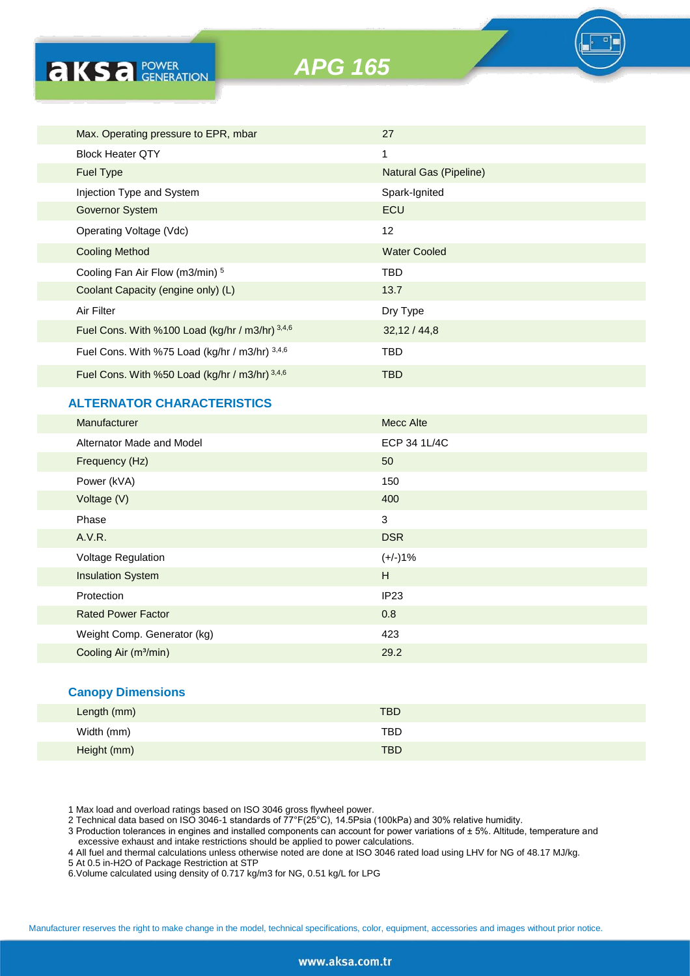

| Max. Operating pressure to EPR, mbar            | 27                     |
|-------------------------------------------------|------------------------|
| <b>Block Heater QTY</b>                         | 1                      |
| <b>Fuel Type</b>                                | Natural Gas (Pipeline) |
| Injection Type and System                       | Spark-Ignited          |
| Governor System                                 | ECU                    |
| Operating Voltage (Vdc)                         | 12                     |
| <b>Cooling Method</b>                           | <b>Water Cooled</b>    |
| Cooling Fan Air Flow (m3/min) 5                 | TBD                    |
| Coolant Capacity (engine only) (L)              | 13.7                   |
| Air Filter                                      | Dry Type               |
| Fuel Cons. With %100 Load (kg/hr / m3/hr) 3,4,6 | 32,12/44,8             |
| Fuel Cons. With %75 Load (kg/hr / m3/hr) 3,4,6  | TBD                    |
| Fuel Cons. With %50 Load (kg/hr / m3/hr) 3,4,6  | <b>TBD</b>             |

# **ALTERNATOR CHARACTERISTICS**

**AKS** *B CENERATION* 

| Manufacturer                      | Mecc Alte    |
|-----------------------------------|--------------|
| Alternator Made and Model         | ECP 34 1L/4C |
| Frequency (Hz)                    | 50           |
| Power (kVA)                       | 150          |
| Voltage (V)                       | 400          |
| Phase                             | 3            |
| A.V.R.                            | <b>DSR</b>   |
| Voltage Regulation                | $(+/-)1%$    |
| <b>Insulation System</b>          | H            |
| Protection                        | IP23         |
| <b>Rated Power Factor</b>         | 0.8          |
| Weight Comp. Generator (kg)       | 423          |
| Cooling Air (m <sup>3</sup> /min) | 29.2         |
|                                   |              |
|                                   |              |

#### **Canopy Dimensions**

| ____        |            |
|-------------|------------|
| Length (mm) | <b>TBD</b> |
| Width (mm)  | TBD        |
| Height (mm) | <b>TBD</b> |

1 Max load and overload ratings based on ISO 3046 gross flywheel power.

2 Technical data based on ISO 3046-1 standards of 77°F(25°C), 14.5Psia (100kPa) and 30% relative humidity.

3 Production tolerances in engines and installed components can account for power variations of ± 5%. Altitude, temperature and excessive exhaust and intake restrictions should be applied to power calculations.

4 All fuel and thermal calculations unless otherwise noted are done at ISO 3046 rated load using LHV for NG of 48.17 MJ/kg.

5 At 0.5 in-H2O of Package Restriction at STP

6.Volume calculated using density of 0.717 kg/m3 for NG, 0.51 kg/L for LPG

Manufacturer reserves the right to make change in the model, technical specifications, color, equipment, accessories and images without prior notice.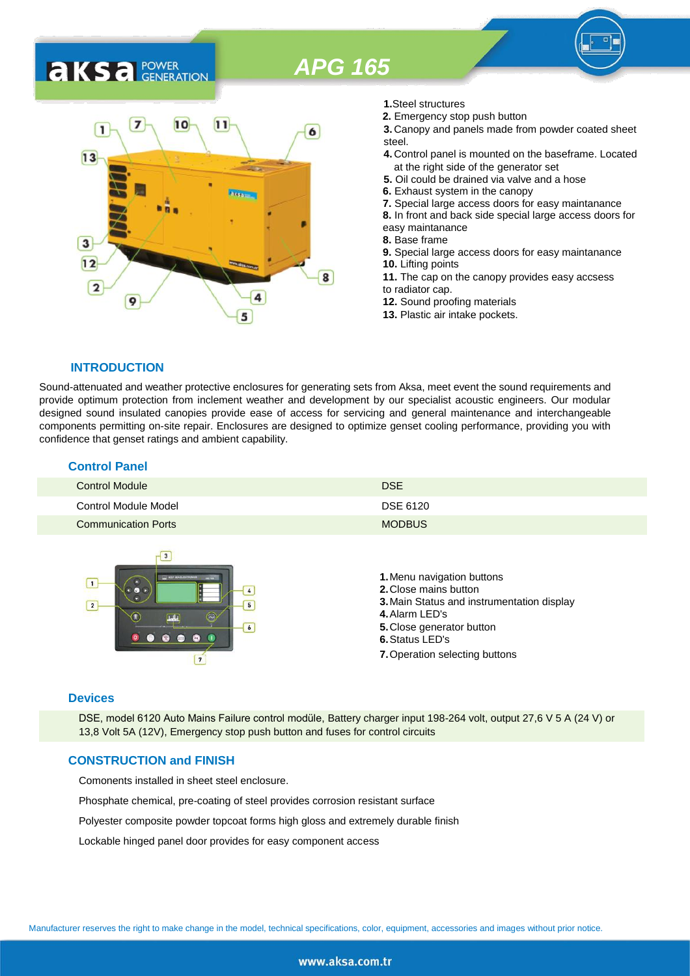# *APG 165*

# **AKSA** POWER



- **1.**Steel structures
- **2.** Emergency stop push button
- **3.** Canopy and panels made from powder coated sheet steel.
- **4.** Control panel is mounted on the baseframe. Located at the right side of the generator set
- **5.** Oil could be drained via valve and a hose
- **6.** Exhaust system in the canopy
- **7.** Special large access doors for easy maintanance
- **8.** In front and back side special large access doors for
- easy maintanance
- **8.** Base frame
- **9.** Special large access doors for easy maintanance **10.** Lifting points **11.** The cap on the canopy provides easy accsess
- to radiator cap.
- **12.** Sound proofing materials
- **13.** Plastic air intake pockets.

#### **INTRODUCTION**

Sound-attenuated and weather protective enclosures for generating sets from Aksa, meet event the sound requirements and provide optimum protection from inclement weather and development by our specialist acoustic engineers. Our modular designed sound insulated canopies provide ease of access for servicing and general maintenance and interchangeable components permitting on-site repair. Enclosures are designed to optimize genset cooling performance, providing you with confidence that genset ratings and ambient capability.

| <b>Control Panel</b>       |               |
|----------------------------|---------------|
| <b>Control Module</b>      | <b>DSE</b>    |
| Control Module Model       | DSE 6120      |
| <b>Communication Ports</b> | <b>MODBUS</b> |



#### **Devices**

DSE, model 6120 Auto Mains Failure control modüle, Battery charger input 198-264 volt, output 27,6 V 5 A (24 V) or 13,8 Volt 5A (12V), Emergency stop push button and fuses for control circuits

#### **CONSTRUCTION and FINISH**

Comonents installed in sheet steel enclosure.

Phosphate chemical, pre-coating of steel provides corrosion resistant surface

Polyester composite powder topcoat forms high gloss and extremely durable finish

Lockable hinged panel door provides for easy component access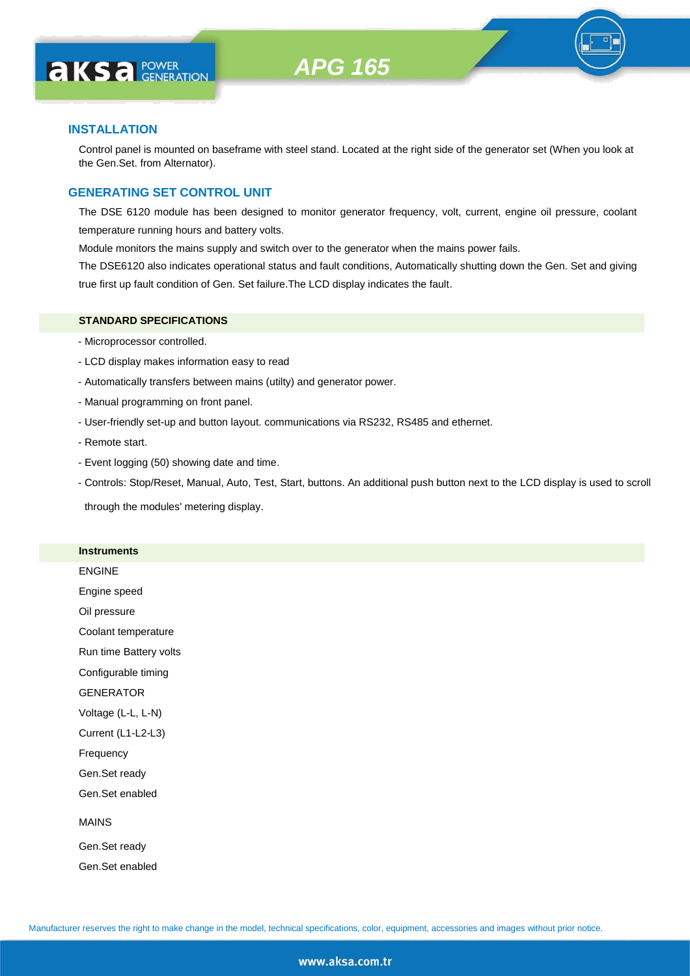#### **INSTALLATION**

Control panel is mounted on baseframe with steel stand. Located at the right side of the generator set (When you look at the Gen.Set. from Alternator).

#### **GENERATING SET CONTROL UNIT**

The DSE 6120 module has been designed to monitor generator frequency, volt, current, engine oil pressure, coolant temperature running hours and battery volts.

Module monitors the mains supply and switch over to the generator when the mains power fails.

The DSE6120 also indicates operational status and fault conditions, Automatically shutting down the Gen. Set and giving true first up fault condition of Gen. Set failure.The LCD display indicates the fault.

#### **STANDARD SPECIFICATIONS**

- Microprocessor controlled.
- LCD display makes information easy to read
- Automatically transfers between mains (utilty) and generator power.
- Manual programming on front panel.
- User-friendly set-up and button layout. communications via RS232, RS485 and ethernet.
- Remote start.
- Event logging (50) showing date and time.
- Controls: Stop/Reset, Manual, Auto, Test, Start, buttons. An additional push button next to the LCD display is used to scroll

through the modules' metering display.

#### **Instruments**

ENGINE

Engine speed

Oil pressure

Coolant temperature

Run time Battery volts

Configurable timing

GENERATOR

Voltage (L-L, L-N)

Current (L1-L2-L3)

Frequency

Gen.Set ready

Gen.Set enabled

#### MAINS

Gen.Set ready Gen.Set enabled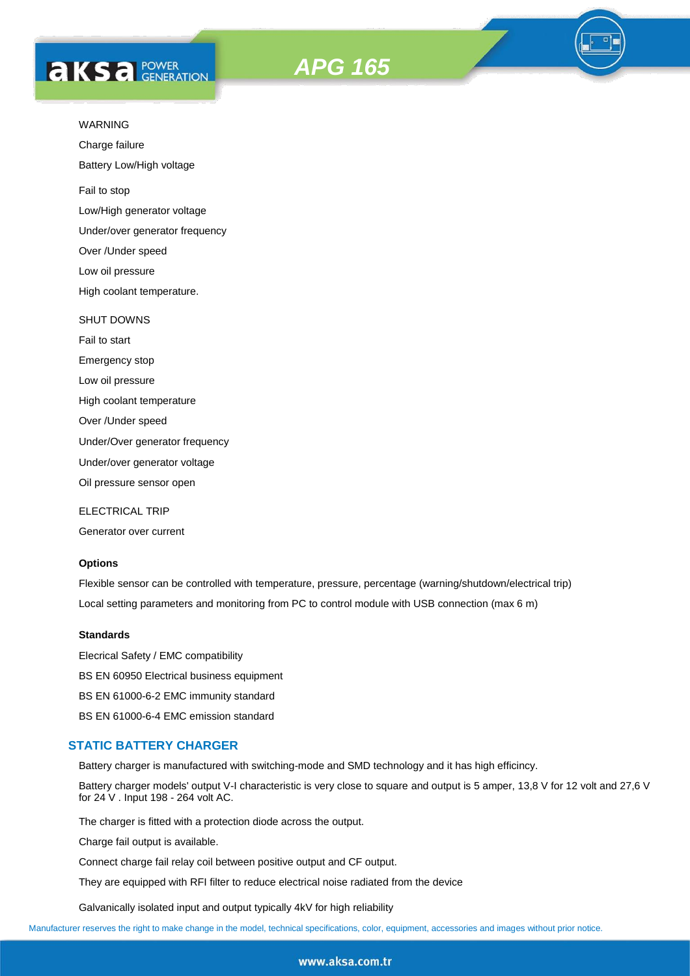



Charge failure

Battery Low/High voltage

Fail to stop

Low/High generator voltage

Under/over generator frequency

Over /Under speed

Low oil pressure

High coolant temperature.

#### SHUT DOWNS

Fail to start Emergency stop Low oil pressure High coolant temperature Over /Under speed

Under/Over generator frequency

Under/over generator voltage

Oil pressure sensor open

ELECTRICAL TRIP

Generator over current

#### **Options**

Flexible sensor can be controlled with temperature, pressure, percentage (warning/shutdown/electrical trip) Local setting parameters and monitoring from PC to control module with USB connection (max 6 m)

#### **Standards**

Elecrical Safety / EMC compatibility BS EN 60950 Electrical business equipment BS EN 61000-6-2 EMC immunity standard BS EN 61000-6-4 EMC emission standard

#### **STATIC BATTERY CHARGER**

Battery charger is manufactured with switching-mode and SMD technology and it has high efficincy.

Battery charger models' output V-I characteristic is very close to square and output is 5 amper, 13,8 V for 12 volt and 27,6 V for 24 V . Input 198 - 264 volt AC.

The charger is fitted with a protection diode across the output.

Charge fail output is available.

Connect charge fail relay coil between positive output and CF output.

They are equipped with RFI filter to reduce electrical noise radiated from the device

Galvanically isolated input and output typically 4kV for high reliability

Manufacturer reserves the right to make change in the model, technical specifications, color, equipment, accessories and images without prior notice.